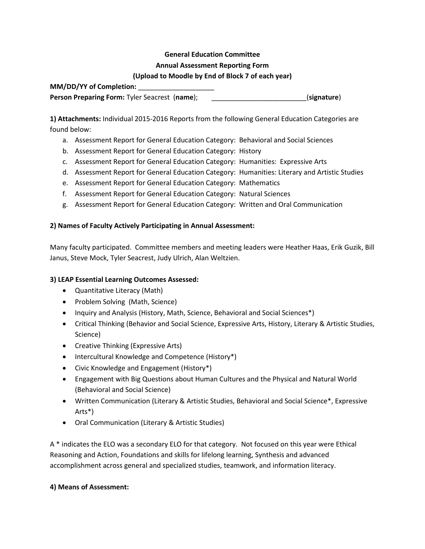# **General Education Committee Annual Assessment Reporting Form**

#### **(Upload to Moodle by End of Block 7 of each year)**

**MM/DD/YY of Completion:** 

**Person Preparing Form:** Tyler Seacrest (**name**); \_\_\_\_\_\_\_\_\_\_\_\_\_\_\_\_\_\_\_\_\_\_\_\_\_(**signature**)

**1) Attachments:** Individual 2015-2016 Reports from the following General Education Categories are found below:

- a. Assessment Report for General Education Category: Behavioral and Social Sciences
- b. Assessment Report for General Education Category: History
- c. Assessment Report for General Education Category: Humanities: Expressive Arts
- d. Assessment Report for General Education Category: Humanities: Literary and Artistic Studies
- e. Assessment Report for General Education Category: Mathematics
- f. Assessment Report for General Education Category: Natural Sciences
- g. Assessment Report for General Education Category: Written and Oral Communication

#### **2) Names of Faculty Actively Participating in Annual Assessment:**

Many faculty participated. Committee members and meeting leaders were Heather Haas, Erik Guzik, Bill Janus, Steve Mock, Tyler Seacrest, Judy Ulrich, Alan Weltzien.

#### **3) LEAP Essential Learning Outcomes Assessed:**

- Quantitative Literacy (Math)
- Problem Solving (Math, Science)
- Inquiry and Analysis (History, Math, Science, Behavioral and Social Sciences\*)
- Critical Thinking (Behavior and Social Science, Expressive Arts, History, Literary & Artistic Studies, Science)
- Creative Thinking (Expressive Arts)
- Intercultural Knowledge and Competence (History\*)
- Civic Knowledge and Engagement (History\*)
- Engagement with Big Questions about Human Cultures and the Physical and Natural World (Behavioral and Social Science)
- Written Communication (Literary & Artistic Studies, Behavioral and Social Science\*, Expressive Arts\*)
- Oral Communication (Literary & Artistic Studies)

A \* indicates the ELO was a secondary ELO for that category. Not focused on this year were Ethical Reasoning and Action, Foundations and skills for lifelong learning, Synthesis and advanced accomplishment across general and specialized studies, teamwork, and information literacy.

#### **4) Means of Assessment:**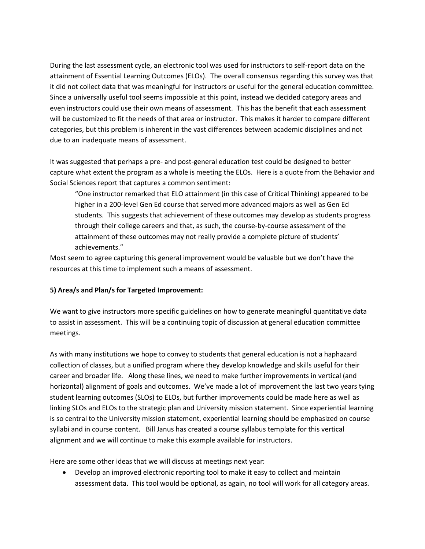During the last assessment cycle, an electronic tool was used for instructors to self-report data on the attainment of Essential Learning Outcomes (ELOs). The overall consensus regarding this survey was that it did not collect data that was meaningful for instructors or useful for the general education committee. Since a universally useful tool seems impossible at this point, instead we decided category areas and even instructors could use their own means of assessment. This has the benefit that each assessment will be customized to fit the needs of that area or instructor. This makes it harder to compare different categories, but this problem is inherent in the vast differences between academic disciplines and not due to an inadequate means of assessment.

It was suggested that perhaps a pre- and post-general education test could be designed to better capture what extent the program as a whole is meeting the ELOs. Here is a quote from the Behavior and Social Sciences report that captures a common sentiment:

"One instructor remarked that ELO attainment (in this case of Critical Thinking) appeared to be higher in a 200-level Gen Ed course that served more advanced majors as well as Gen Ed students. This suggests that achievement of these outcomes may develop as students progress through their college careers and that, as such, the course-by-course assessment of the attainment of these outcomes may not really provide a complete picture of students' achievements."

Most seem to agree capturing this general improvement would be valuable but we don't have the resources at this time to implement such a means of assessment.

#### **5) Area/s and Plan/s for Targeted Improvement:**

We want to give instructors more specific guidelines on how to generate meaningful quantitative data to assist in assessment. This will be a continuing topic of discussion at general education committee meetings.

As with many institutions we hope to convey to students that general education is not a haphazard collection of classes, but a unified program where they develop knowledge and skills useful for their career and broader life. Along these lines, we need to make further improvements in vertical (and horizontal) alignment of goals and outcomes. We've made a lot of improvement the last two years tying student learning outcomes (SLOs) to ELOs, but further improvements could be made here as well as linking SLOs and ELOs to the strategic plan and University mission statement. Since experiential learning is so central to the University mission statement, experiential learning should be emphasized on course syllabi and in course content. Bill Janus has created a course syllabus template for this vertical alignment and we will continue to make this example available for instructors.

Here are some other ideas that we will discuss at meetings next year:

 Develop an improved electronic reporting tool to make it easy to collect and maintain assessment data. This tool would be optional, as again, no tool will work for all category areas.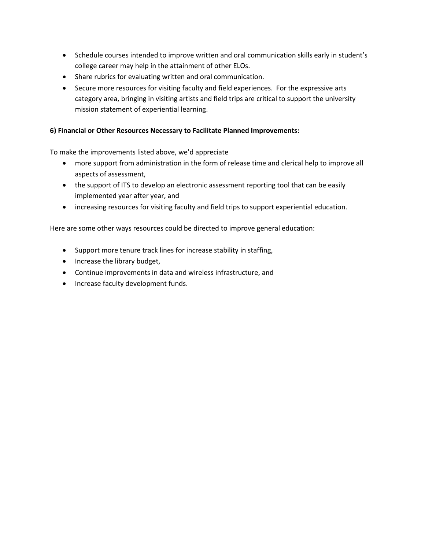- Schedule courses intended to improve written and oral communication skills early in student's college career may help in the attainment of other ELOs.
- Share rubrics for evaluating written and oral communication.
- Secure more resources for visiting faculty and field experiences. For the expressive arts category area, bringing in visiting artists and field trips are critical to support the university mission statement of experiential learning.

#### **6) Financial or Other Resources Necessary to Facilitate Planned Improvements:**

To make the improvements listed above, we'd appreciate

- more support from administration in the form of release time and clerical help to improve all aspects of assessment,
- the support of ITS to develop an electronic assessment reporting tool that can be easily implemented year after year, and
- increasing resources for visiting faculty and field trips to support experiential education.

Here are some other ways resources could be directed to improve general education:

- Support more tenure track lines for increase stability in staffing,
- Increase the library budget,
- Continue improvements in data and wireless infrastructure, and
- Increase faculty development funds.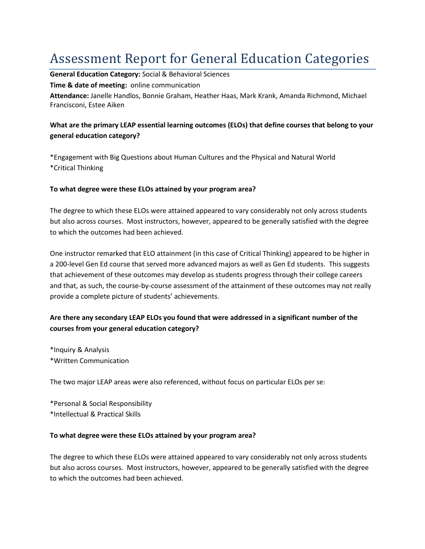# Assessment Report for General Education Categories

**General Education Category:** Social & Behavioral Sciences **Time & date of meeting:** online communication

**Attendance:** Janelle Handlos, Bonnie Graham, Heather Haas, Mark Krank, Amanda Richmond, Michael Francisconi, Estee Aiken

# **What are the primary LEAP essential learning outcomes (ELOs) that define courses that belong to your general education category?**

\*Engagement with Big Questions about Human Cultures and the Physical and Natural World \*Critical Thinking

#### **To what degree were these ELOs attained by your program area?**

The degree to which these ELOs were attained appeared to vary considerably not only across students but also across courses. Most instructors, however, appeared to be generally satisfied with the degree to which the outcomes had been achieved.

One instructor remarked that ELO attainment (in this case of Critical Thinking) appeared to be higher in a 200-level Gen Ed course that served more advanced majors as well as Gen Ed students. This suggests that achievement of these outcomes may develop as students progress through their college careers and that, as such, the course-by-course assessment of the attainment of these outcomes may not really provide a complete picture of students' achievements.

# **Are there any secondary LEAP ELOs you found that were addressed in a significant number of the courses from your general education category?**

\*Inquiry & Analysis \*Written Communication

The two major LEAP areas were also referenced, without focus on particular ELOs per se:

\*Personal & Social Responsibility \*Intellectual & Practical Skills

#### **To what degree were these ELOs attained by your program area?**

The degree to which these ELOs were attained appeared to vary considerably not only across students but also across courses. Most instructors, however, appeared to be generally satisfied with the degree to which the outcomes had been achieved.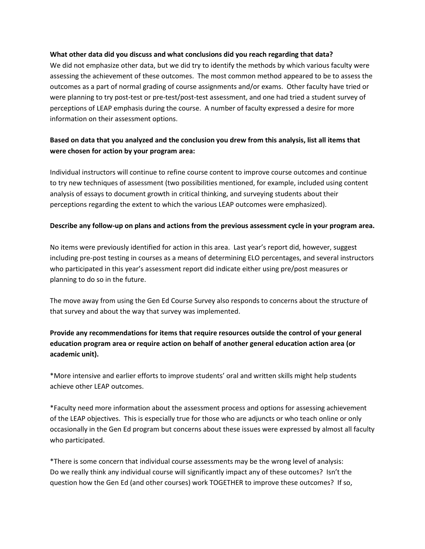#### **What other data did you discuss and what conclusions did you reach regarding that data?**

We did not emphasize other data, but we did try to identify the methods by which various faculty were assessing the achievement of these outcomes. The most common method appeared to be to assess the outcomes as a part of normal grading of course assignments and/or exams. Other faculty have tried or were planning to try post-test or pre-test/post-test assessment, and one had tried a student survey of perceptions of LEAP emphasis during the course. A number of faculty expressed a desire for more information on their assessment options.

## **Based on data that you analyzed and the conclusion you drew from this analysis, list all items that were chosen for action by your program area:**

Individual instructors will continue to refine course content to improve course outcomes and continue to try new techniques of assessment (two possibilities mentioned, for example, included using content analysis of essays to document growth in critical thinking, and surveying students about their perceptions regarding the extent to which the various LEAP outcomes were emphasized).

#### **Describe any follow-up on plans and actions from the previous assessment cycle in your program area.**

No items were previously identified for action in this area. Last year's report did, however, suggest including pre-post testing in courses as a means of determining ELO percentages, and several instructors who participated in this year's assessment report did indicate either using pre/post measures or planning to do so in the future.

The move away from using the Gen Ed Course Survey also responds to concerns about the structure of that survey and about the way that survey was implemented.

# **Provide any recommendations for items that require resources outside the control of your general education program area or require action on behalf of another general education action area (or academic unit).**

\*More intensive and earlier efforts to improve students' oral and written skills might help students achieve other LEAP outcomes.

\*Faculty need more information about the assessment process and options for assessing achievement of the LEAP objectives. This is especially true for those who are adjuncts or who teach online or only occasionally in the Gen Ed program but concerns about these issues were expressed by almost all faculty who participated.

\*There is some concern that individual course assessments may be the wrong level of analysis: Do we really think any individual course will significantly impact any of these outcomes? Isn't the question how the Gen Ed (and other courses) work TOGETHER to improve these outcomes? If so,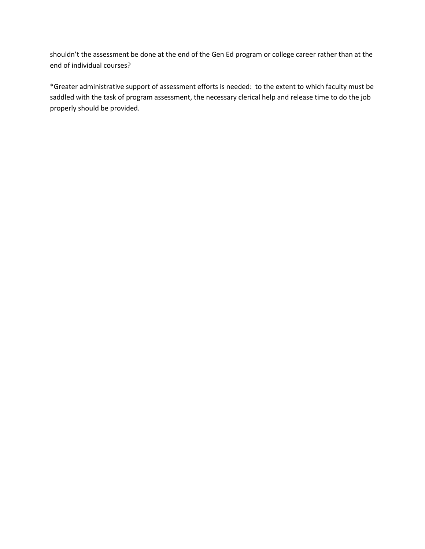shouldn't the assessment be done at the end of the Gen Ed program or college career rather than at the end of individual courses?

\*Greater administrative support of assessment efforts is needed: to the extent to which faculty must be saddled with the task of program assessment, the necessary clerical help and release time to do the job properly should be provided.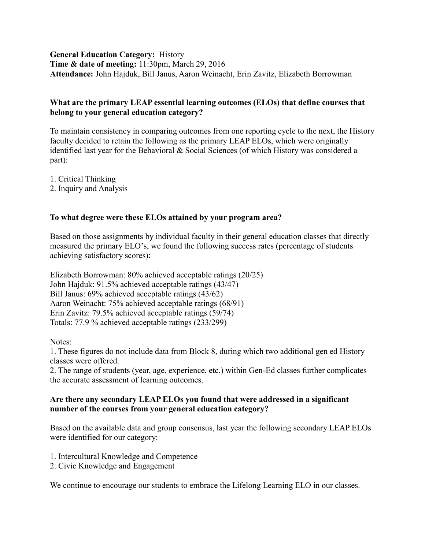**General Education Category:** History **Time & date of meeting:** 11:30pm, March 29, 2016 **Attendance:** John Hajduk, Bill Janus, Aaron Weinacht, Erin Zavitz, Elizabeth Borrowman

## **What are the primary LEAP essential learning outcomes (ELOs) that define courses that belong to your general education category?**

To maintain consistency in comparing outcomes from one reporting cycle to the next, the History faculty decided to retain the following as the primary LEAP ELOs, which were originally identified last year for the Behavioral & Social Sciences (of which History was considered a part):

1. Critical Thinking

2. Inquiry and Analysis

# **To what degree were these ELOs attained by your program area?**

Based on those assignments by individual faculty in their general education classes that directly measured the primary ELO's, we found the following success rates (percentage of students achieving satisfactory scores):

Elizabeth Borrowman: 80% achieved acceptable ratings (20/25) John Hajduk: 91.5% achieved acceptable ratings (43/47) Bill Janus: 69% achieved acceptable ratings (43/62) Aaron Weinacht: 75% achieved acceptable ratings (68/91) Erin Zavitz: 79.5% achieved acceptable ratings (59/74) Totals: 77.9 % achieved acceptable ratings (233/299)

Notes:

1. These figures do not include data from Block 8, during which two additional gen ed History classes were offered.

2. The range of students (year, age, experience, etc.) within Gen-Ed classes further complicates the accurate assessment of learning outcomes.

### **Are there any secondary LEAP ELOs you found that were addressed in a significant number of the courses from your general education category?**

Based on the available data and group consensus, last year the following secondary LEAP ELOs were identified for our category:

- 1. Intercultural Knowledge and Competence
- 2. Civic Knowledge and Engagement

We continue to encourage our students to embrace the Lifelong Learning ELO in our classes.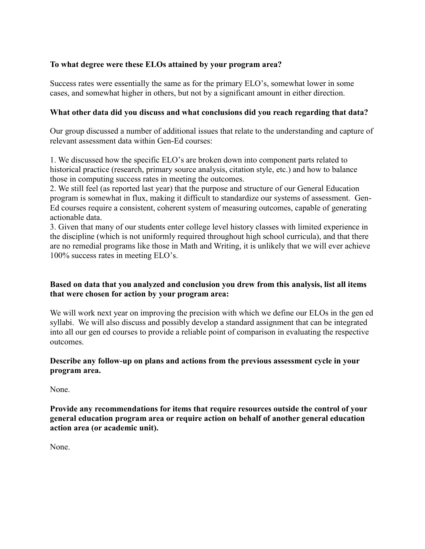# **To what degree were these ELOs attained by your program area?**

Success rates were essentially the same as for the primary ELO's, somewhat lower in some cases, and somewhat higher in others, but not by a significant amount in either direction.

#### **What other data did you discuss and what conclusions did you reach regarding that data?**

Our group discussed a number of additional issues that relate to the understanding and capture of relevant assessment data within Gen-Ed courses:

1. We discussed how the specific ELO's are broken down into component parts related to historical practice (research, primary source analysis, citation style, etc.) and how to balance those in computing success rates in meeting the outcomes.

2. We still feel (as reported last year) that the purpose and structure of our General Education program is somewhat in flux, making it difficult to standardize our systems of assessment. Gen-Ed courses require a consistent, coherent system of measuring outcomes, capable of generating actionable data.

3. Given that many of our students enter college level history classes with limited experience in the discipline (which is not uniformly required throughout high school curricula), and that there are no remedial programs like those in Math and Writing, it is unlikely that we will ever achieve 100% success rates in meeting ELO's.

# **Based on data that you analyzed and conclusion you drew from this analysis, list all items that were chosen for action by your program area:**

We will work next year on improving the precision with which we define our ELOs in the gen ed syllabi. We will also discuss and possibly develop a standard assignment that can be integrated into all our gen ed courses to provide a reliable point of comparison in evaluating the respective outcomes.

### **Describe any follow-up on plans and actions from the previous assessment cycle in your program area.**

None.

**Provide any recommendations for items that require resources outside the control of your general education program area or require action on behalf of another general education action area (or academic unit).**

None.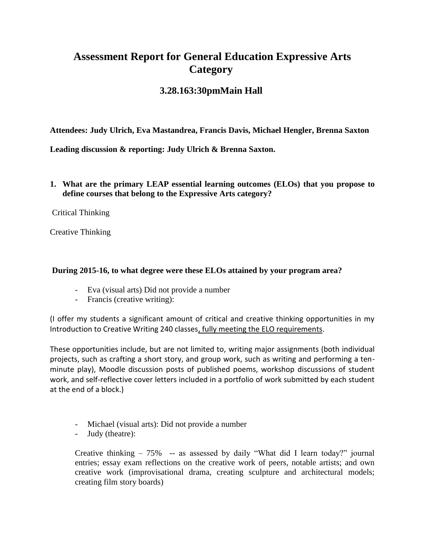# **Assessment Report for General Education Expressive Arts Category**

# **3.28.163:30pmMain Hall**

**Attendees: Judy Ulrich, Eva Mastandrea, Francis Davis, Michael Hengler, Brenna Saxton**

**Leading discussion & reporting: Judy Ulrich & Brenna Saxton.** 

**1. What are the primary LEAP essential learning outcomes (ELOs) that you propose to define courses that belong to the Expressive Arts category?**

Critical Thinking

Creative Thinking

## **During 2015-16, to what degree were these ELOs attained by your program area?**

- Eva (visual arts): Did not provide a number
- Francis (creative writing):

(I offer my students a significant amount of critical and creative thinking opportunities in my Introduction to Creative Writing 240 classes, fully meeting the ELO requirements.

These opportunities include, but are not limited to, writing major assignments (both individual projects, such as crafting a short story, and group work, such as writing and performing a tenminute play), Moodle discussion posts of published poems, workshop discussions of student work, and self-reflective cover letters included in a portfolio of work submitted by each student at the end of a block.)

- Michael (visual arts): Did not provide a number
- Judy (theatre):

Creative thinking  $-75\%$  -- as assessed by daily "What did I learn today?" journal entries; essay exam reflections on the creative work of peers, notable artists; and own creative work (improvisational drama, creating sculpture and architectural models; creating film story boards)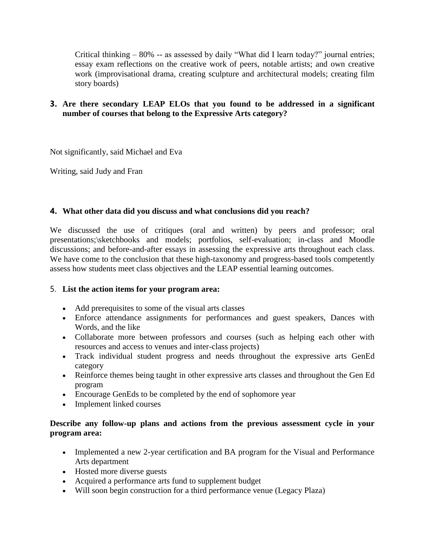Critical thinking  $-80\%$  -- as assessed by daily "What did I learn today?" journal entries; essay exam reflections on the creative work of peers, notable artists; and own creative work (improvisational drama, creating sculpture and architectural models; creating film story boards)

# **3. Are there secondary LEAP ELOs that you found to be addressed in a significant number of courses that belong to the Expressive Arts category?**

Not significantly, said Michael and Eva

Writing, said Judy and Fran

# **4. What other data did you discuss and what conclusions did you reach?**

We discussed the use of critiques (oral and written) by peers and professor; oral presentations;\sketchbooks and models; portfolios, self-evaluation; in-class and Moodle discussions; and before-and-after essays in assessing the expressive arts throughout each class. We have come to the conclusion that these high-taxonomy and progress-based tools competently assess how students meet class objectives and the LEAP essential learning outcomes.

# 5. **List the action items for your program area:**

- Add prerequisites to some of the visual arts classes
- Enforce attendance assignments for performances and guest speakers, Dances with Words, and the like
- Collaborate more between professors and courses (such as helping each other with resources and access to venues and inter-class projects)
- Track individual student progress and needs throughout the expressive arts GenEd category
- Reinforce themes being taught in other expressive arts classes and throughout the Gen Ed program
- Encourage GenEds to be completed by the end of sophomore year
- Implement linked courses

# **Describe any follow-up plans and actions from the previous assessment cycle in your program area:**

- Implemented a new 2-year certification and BA program for the Visual and Performance Arts department
- Hosted more diverse guests
- Acquired a performance arts fund to supplement budget
- Will soon begin construction for a third performance venue (Legacy Plaza)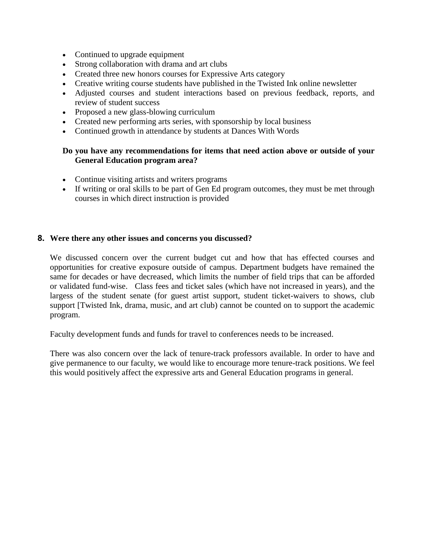- Continued to upgrade equipment
- Strong collaboration with drama and art clubs
- Created three new honors courses for Expressive Arts category
- Creative writing course students have published in the Twisted Ink online newsletter
- Adjusted courses and student interactions based on previous feedback, reports, and review of student success
- Proposed a new glass-blowing curriculum
- Created new performing arts series, with sponsorship by local business
- Continued growth in attendance by students at Dances With Words

### **Do you have any recommendations for items that need action above or outside of your General Education program area?**

- Continue visiting artists and writers programs
- If writing or oral skills to be part of Gen Ed program outcomes, they must be met through courses in which direct instruction is provided

#### **8. Were there any other issues and concerns you discussed?**

We discussed concern over the current budget cut and how that has effected courses and opportunities for creative exposure outside of campus. Department budgets have remained the same for decades or have decreased, which limits the number of field trips that can be afforded or validated fund-wise. Class fees and ticket sales (which have not increased in years), and the largess of the student senate (for guest artist support, student ticket-waivers to shows, club support [Twisted Ink, drama, music, and art club) cannot be counted on to support the academic program.

Faculty development funds and funds for travel to conferences needs to be increased.

There was also concern over the lack of tenure-track professors available. In order to have and give permanence to our faculty, we would like to encourage more tenure-track positions. We feel this would positively affect the expressive arts and General Education programs in general.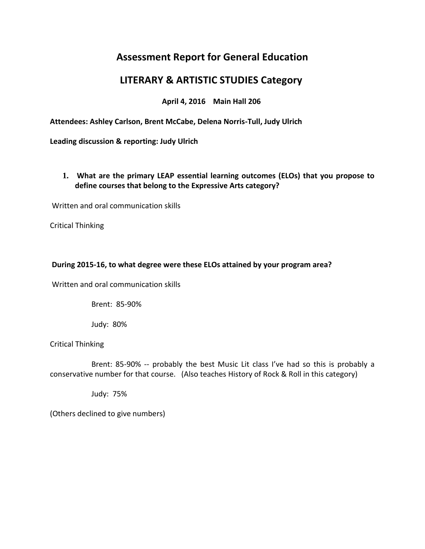# **Assessment Report for General Education**

# **LITERARY & ARTISTIC STUDIES Category**

**April 4, 2016 Main Hall 206**

**Attendees: Ashley Carlson, Brent McCabe, Delena Norris-Tull, Judy Ulrich**

**Leading discussion & reporting: Judy Ulrich** 

**1. What are the primary LEAP essential learning outcomes (ELOs) that you propose to define courses that belong to the Expressive Arts category?**

Written and oral communication skills

Critical Thinking

# **During 2015-16, to what degree were these ELOs attained by your program area?**

Written and oral communication skills

Brent: 85-90%

Judy: 80%

Critical Thinking

 Brent: 85-90% -- probably the best Music Lit class I've had so this is probably a conservative number for that course. (Also teaches History of Rock & Roll in this category)

Judy: 75%

(Others declined to give numbers)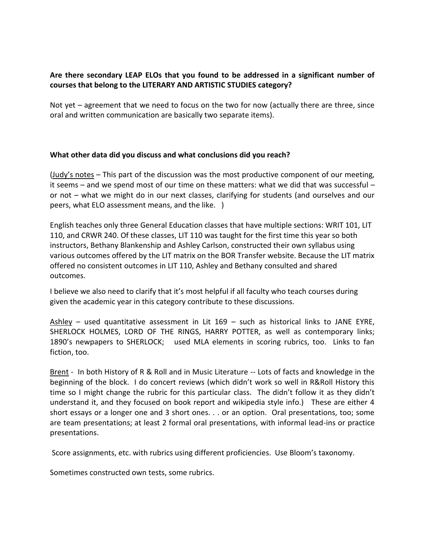# **Are there secondary LEAP ELOs that you found to be addressed in a significant number of courses that belong to the LITERARY AND ARTISTIC STUDIES category?**

Not yet – agreement that we need to focus on the two for now (actually there are three, since oral and written communication are basically two separate items).

### **What other data did you discuss and what conclusions did you reach?**

(Judy's notes – This part of the discussion was the most productive component of our meeting, it seems – and we spend most of our time on these matters: what we did that was successful – or not – what we might do in our next classes, clarifying for students (and ourselves and our peers, what ELO assessment means, and the like. )

English teaches only three General Education classes that have multiple sections: WRIT 101, LIT 110, and CRWR 240. Of these classes, LIT 110 was taught for the first time this year so both instructors, Bethany Blankenship and Ashley Carlson, constructed their own syllabus using various outcomes offered by the LIT matrix on the BOR Transfer website. Because the LIT matrix offered no consistent outcomes in LIT 110, Ashley and Bethany consulted and shared outcomes.

I believe we also need to clarify that it's most helpful if all faculty who teach courses during given the academic year in this category contribute to these discussions.

 $Ashley -$  used quantitative assessment in Lit 169 – such as historical links to JANE EYRE, SHERLOCK HOLMES, LORD OF THE RINGS, HARRY POTTER, as well as contemporary links; 1890's newpapers to SHERLOCK; used MLA elements in scoring rubrics, too. Links to fan fiction, too.

Brent - In both History of R & Roll and in Music Literature -- Lots of facts and knowledge in the beginning of the block. I do concert reviews (which didn't work so well in R&Roll History this time so I might change the rubric for this particular class. The didn't follow it as they didn't understand it, and they focused on book report and wikipedia style info.) These are either 4 short essays or a longer one and 3 short ones. . . or an option. Oral presentations, too; some are team presentations; at least 2 formal oral presentations, with informal lead-ins or practice presentations.

Score assignments, etc. with rubrics using different proficiencies. Use Bloom's taxonomy.

Sometimes constructed own tests, some rubrics.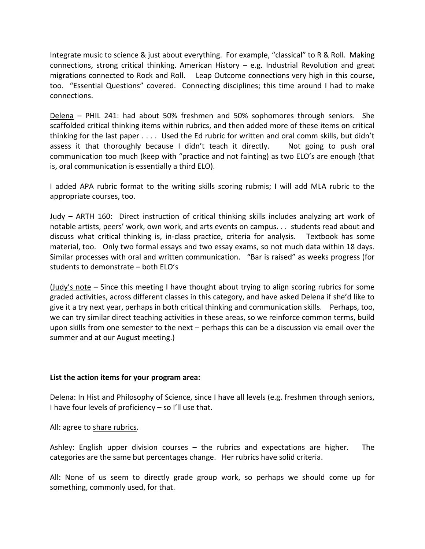Integrate music to science & just about everything. For example, "classical" to R & Roll. Making connections, strong critical thinking. American History – e.g. Industrial Revolution and great migrations connected to Rock and Roll. Leap Outcome connections very high in this course, too. "Essential Questions" covered. Connecting disciplines; this time around I had to make connections.

Delena – PHIL 241: had about 50% freshmen and 50% sophomores through seniors. She scaffolded critical thinking items within rubrics, and then added more of these items on critical thinking for the last paper . . . . Used the Ed rubric for written and oral comm skills, but didn't assess it that thoroughly because I didn't teach it directly. Not going to push oral communication too much (keep with "practice and not fainting) as two ELO's are enough (that is, oral communication is essentially a third ELO).

I added APA rubric format to the writing skills scoring rubmis; I will add MLA rubric to the appropriate courses, too.

Judy – ARTH 160: Direct instruction of critical thinking skills includes analyzing art work of notable artists, peers' work, own work, and arts events on campus. . . students read about and discuss what critical thinking is, in-class practice, criteria for analysis. Textbook has some material, too. Only two formal essays and two essay exams, so not much data within 18 days. Similar processes with oral and written communication. "Bar is raised" as weeks progress (for students to demonstrate – both ELO's

(Judy's note – Since this meeting I have thought about trying to align scoring rubrics for some graded activities, across different classes in this category, and have asked Delena if she'd like to give it a try next year, perhaps in both critical thinking and communication skills. Perhaps, too, we can try similar direct teaching activities in these areas, so we reinforce common terms, build upon skills from one semester to the next – perhaps this can be a discussion via email over the summer and at our August meeting.)

#### **List the action items for your program area:**

Delena: In Hist and Philosophy of Science, since I have all levels (e.g. freshmen through seniors, I have four levels of proficiency – so I'll use that.

All: agree to share rubrics.

Ashley: English upper division courses – the rubrics and expectations are higher. The categories are the same but percentages change. Her rubrics have solid criteria.

All: None of us seem to directly grade group work, so perhaps we should come up for something, commonly used, for that.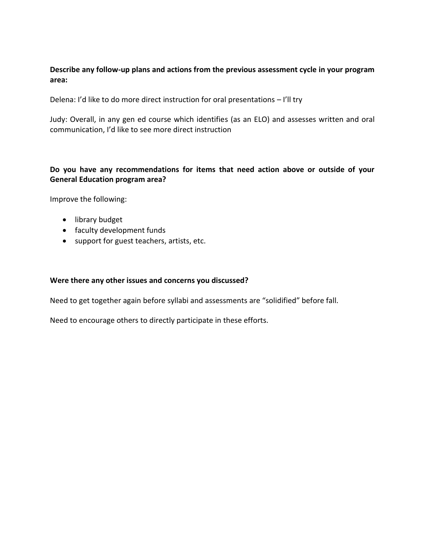## **Describe any follow-up plans and actions from the previous assessment cycle in your program area:**

Delena: I'd like to do more direct instruction for oral presentations – I'll try

Judy: Overall, in any gen ed course which identifies (as an ELO) and assesses written and oral communication, I'd like to see more direct instruction

## **Do you have any recommendations for items that need action above or outside of your General Education program area?**

Improve the following:

- library budget
- faculty development funds
- support for guest teachers, artists, etc.

#### **Were there any other issues and concerns you discussed?**

Need to get together again before syllabi and assessments are "solidified" before fall.

Need to encourage others to directly participate in these efforts.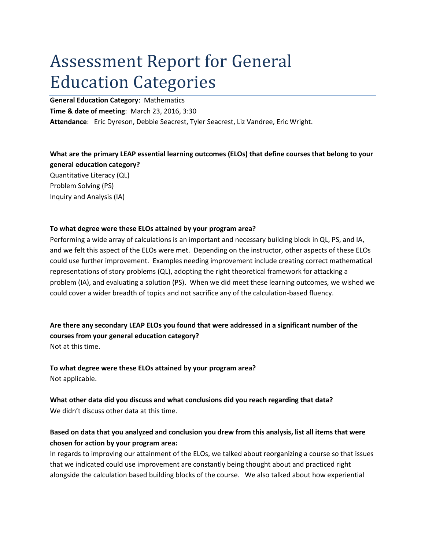# Assessment Report for General Education Categories

**General Education Category**: Mathematics

**Time & date of meeting**: March 23, 2016, 3:30

**Attendance**: Eric Dyreson, Debbie Seacrest, Tyler Seacrest, Liz Vandree, Eric Wright.

#### **What are the primary LEAP essential learning outcomes (ELOs) that define courses that belong to your general education category?**

Quantitative Literacy (QL) Problem Solving (PS) Inquiry and Analysis (IA)

#### **To what degree were these ELOs attained by your program area?**

Performing a wide array of calculations is an important and necessary building block in QL, PS, and IA, and we felt this aspect of the ELOs were met. Depending on the instructor, other aspects of these ELOs could use further improvement. Examples needing improvement include creating correct mathematical representations of story problems (QL), adopting the right theoretical framework for attacking a problem (IA), and evaluating a solution (PS). When we did meet these learning outcomes, we wished we could cover a wider breadth of topics and not sacrifice any of the calculation-based fluency.

**Are there any secondary LEAP ELOs you found that were addressed in a significant number of the courses from your general education category?**  Not at this time.

**To what degree were these ELOs attained by your program area?** Not applicable.

**What other data did you discuss and what conclusions did you reach regarding that data?** We didn't discuss other data at this time.

# **Based on data that you analyzed and conclusion you drew from this analysis, list all items that were chosen for action by your program area:**

In regards to improving our attainment of the ELOs, we talked about reorganizing a course so that issues that we indicated could use improvement are constantly being thought about and practiced right alongside the calculation based building blocks of the course. We also talked about how experiential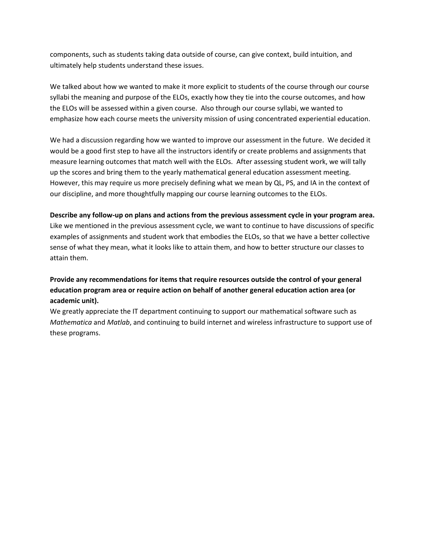components, such as students taking data outside of course, can give context, build intuition, and ultimately help students understand these issues.

We talked about how we wanted to make it more explicit to students of the course through our course syllabi the meaning and purpose of the ELOs, exactly how they tie into the course outcomes, and how the ELOs will be assessed within a given course. Also through our course syllabi, we wanted to emphasize how each course meets the university mission of using concentrated experiential education.

We had a discussion regarding how we wanted to improve our assessment in the future. We decided it would be a good first step to have all the instructors identify or create problems and assignments that measure learning outcomes that match well with the ELOs. After assessing student work, we will tally up the scores and bring them to the yearly mathematical general education assessment meeting. However, this may require us more precisely defining what we mean by QL, PS, and IA in the context of our discipline, and more thoughtfully mapping our course learning outcomes to the ELOs.

**Describe any follow-up on plans and actions from the previous assessment cycle in your program area.** Like we mentioned in the previous assessment cycle, we want to continue to have discussions of specific examples of assignments and student work that embodies the ELOs, so that we have a better collective sense of what they mean, what it looks like to attain them, and how to better structure our classes to attain them.

# **Provide any recommendations for items that require resources outside the control of your general education program area or require action on behalf of another general education action area (or academic unit).**

We greatly appreciate the IT department continuing to support our mathematical software such as *Mathematica* and *Matlab*, and continuing to build internet and wireless infrastructure to support use of these programs.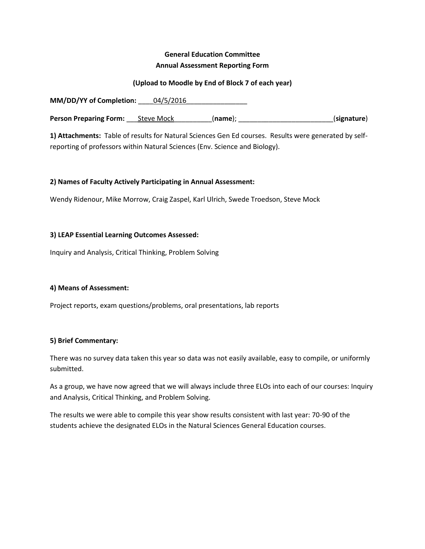# **General Education Committee Annual Assessment Reporting Form**

#### **(Upload to Moodle by End of Block 7 of each year)**

**MM/DD/YY** of Completion:  $04/5/2016$ **Person Preparing Form:** Steve Mock (name); \_\_\_\_\_\_\_\_\_\_\_\_\_\_\_\_\_\_\_\_\_\_\_\_\_\_\_\_(signature)

**1) Attachments:** Table of results for Natural Sciences Gen Ed courses. Results were generated by selfreporting of professors within Natural Sciences (Env. Science and Biology).

#### **2) Names of Faculty Actively Participating in Annual Assessment:**

Wendy Ridenour, Mike Morrow, Craig Zaspel, Karl Ulrich, Swede Troedson, Steve Mock

#### **3) LEAP Essential Learning Outcomes Assessed:**

Inquiry and Analysis, Critical Thinking, Problem Solving

#### **4) Means of Assessment:**

Project reports, exam questions/problems, oral presentations, lab reports

#### **5) Brief Commentary:**

There was no survey data taken this year so data was not easily available, easy to compile, or uniformly submitted.

As a group, we have now agreed that we will always include three ELOs into each of our courses: Inquiry and Analysis, Critical Thinking, and Problem Solving.

The results we were able to compile this year show results consistent with last year: 70-90 of the students achieve the designated ELOs in the Natural Sciences General Education courses.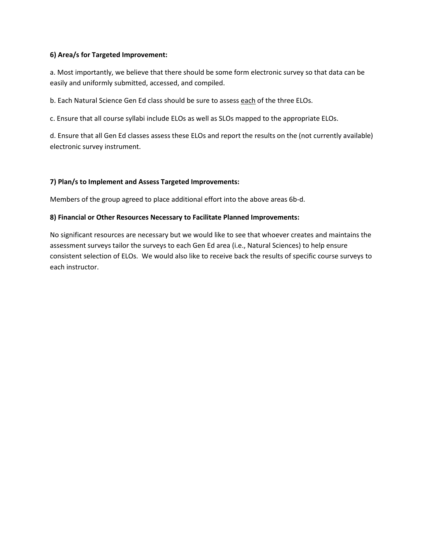#### **6) Area/s for Targeted Improvement:**

a. Most importantly, we believe that there should be some form electronic survey so that data can be easily and uniformly submitted, accessed, and compiled.

b. Each Natural Science Gen Ed class should be sure to assess each of the three ELOs.

c. Ensure that all course syllabi include ELOs as well as SLOs mapped to the appropriate ELOs.

d. Ensure that all Gen Ed classes assess these ELOs and report the results on the (not currently available) electronic survey instrument.

#### **7) Plan/s to Implement and Assess Targeted Improvements:**

Members of the group agreed to place additional effort into the above areas 6b-d.

#### **8) Financial or Other Resources Necessary to Facilitate Planned Improvements:**

No significant resources are necessary but we would like to see that whoever creates and maintains the assessment surveys tailor the surveys to each Gen Ed area (i.e., Natural Sciences) to help ensure consistent selection of ELOs. We would also like to receive back the results of specific course surveys to each instructor.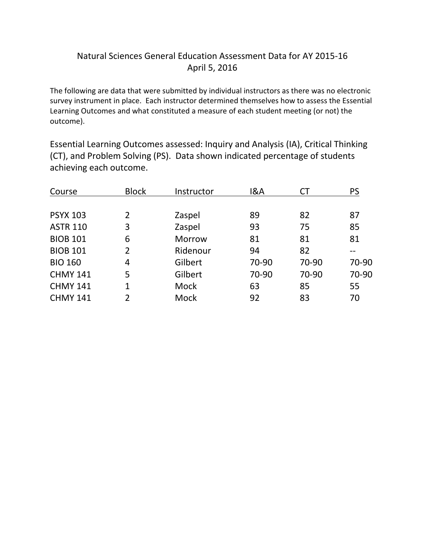# Natural Sciences General Education Assessment Data for AY 2015-16 April 5, 2016

The following are data that were submitted by individual instructors as there was no electronic survey instrument in place. Each instructor determined themselves how to assess the Essential Learning Outcomes and what constituted a measure of each student meeting (or not) the outcome).

Essential Learning Outcomes assessed: Inquiry and Analysis (IA), Critical Thinking (CT), and Problem Solving (PS). Data shown indicated percentage of students achieving each outcome.

| <b>Block</b>   | Instructor  | 18A   | СT    | <b>PS</b> |
|----------------|-------------|-------|-------|-----------|
|                |             |       |       |           |
| 2              | Zaspel      | 89    | 82    | 87        |
| 3              | Zaspel      | 93    | 75    | 85        |
| 6              | Morrow      | 81    | 81    | 81        |
| $\overline{2}$ | Ridenour    | 94    | 82    |           |
| 4              | Gilbert     | 70-90 | 70-90 | 70-90     |
| 5              | Gilbert     | 70-90 | 70-90 | 70-90     |
| 1              | <b>Mock</b> | 63    | 85    | 55        |
| $\overline{2}$ | Mock        | 92    | 83    | 70        |
|                |             |       |       |           |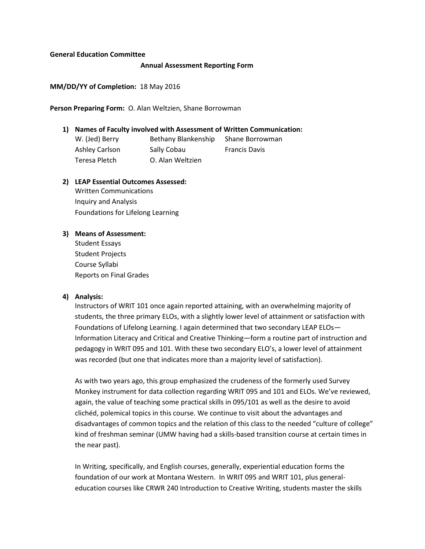#### **General Education Committee**

#### **Annual Assessment Reporting Form**

#### **MM/DD/YY of Completion:** 18 May 2016

#### **Person Preparing Form:** O. Alan Weltzien, Shane Borrowman

### **1) Names of Faculty involved with Assessment of Written Communication:**  W. (Jed) Berry Bethany Blankenship Shane Borrowman Ashley Carlson Sally Cobau Francis Davis Teresa Pletch O. Alan Weltzien

- **2) LEAP Essential Outcomes Assessed:**  Written Communications Inquiry and Analysis Foundations for Lifelong Learning
- **3) Means of Assessment:**  Student Essays

Student Projects Course Syllabi Reports on Final Grades

#### **4) Analysis:**

Instructors of WRIT 101 once again reported attaining, with an overwhelming majority of students, the three primary ELOs, with a slightly lower level of attainment or satisfaction with Foundations of Lifelong Learning. I again determined that two secondary LEAP ELOs— Information Literacy and Critical and Creative Thinking—form a routine part of instruction and pedagogy in WRIT 095 and 101. With these two secondary ELO's, a lower level of attainment was recorded (but one that indicates more than a majority level of satisfaction).

As with two years ago, this group emphasized the crudeness of the formerly used Survey Monkey instrument for data collection regarding WRIT 095 and 101 and ELOs. We've reviewed, again, the value of teaching some practical skills in 095/101 as well as the desire to avoid clichéd, polemical topics in this course. We continue to visit about the advantages and disadvantages of common topics and the relation of this class to the needed "culture of college" kind of freshman seminar (UMW having had a skills-based transition course at certain times in the near past).

In Writing, specifically, and English courses, generally, experiential education forms the foundation of our work at Montana Western. In WRIT 095 and WRIT 101, plus generaleducation courses like CRWR 240 Introduction to Creative Writing, students master the skills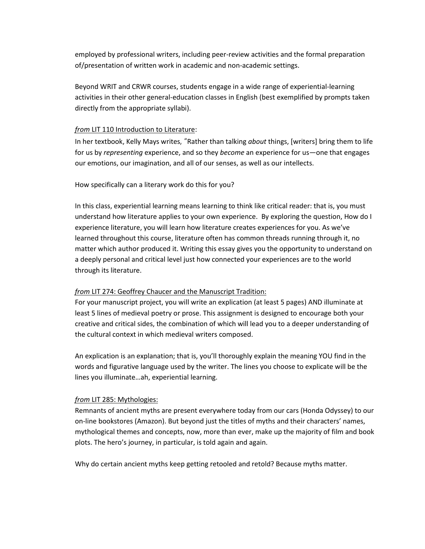employed by professional writers, including peer-review activities and the formal preparation of/presentation of written work in academic and non-academic settings.

Beyond WRIT and CRWR courses, students engage in a wide range of experiential-learning activities in their other general-education classes in English (best exemplified by prompts taken directly from the appropriate syllabi).

#### *from* LIT 110 Introduction to Literature:

In her textbook, Kelly Mays writes, "Rather than talking *about* things, [writers] bring them to life for us by *representing* experience, and so they *become* an experience for us—one that engages our emotions, our imagination, and all of our senses, as well as our intellects.

#### How specifically can a literary work do this for you?

In this class, experiential learning means learning to think like critical reader: that is, you must understand how literature applies to your own experience. By exploring the question, How do I experience literature, you will learn how literature creates experiences for you. As we've learned throughout this course, literature often has common threads running through it, no matter which author produced it. Writing this essay gives you the opportunity to understand on a deeply personal and critical level just how connected your experiences are to the world through its literature.

#### *from* LIT 274: Geoffrey Chaucer and the Manuscript Tradition:

For your manuscript project, you will write an explication (at least 5 pages) AND illuminate at least 5 lines of medieval poetry or prose. This assignment is designed to encourage both your creative and critical sides, the combination of which will lead you to a deeper understanding of the cultural context in which medieval writers composed.

An explication is an explanation; that is, you'll thoroughly explain the meaning YOU find in the words and figurative language used by the writer. The lines you choose to explicate will be the lines you illuminate…ah, experiential learning.

#### *from* LIT 285: Mythologies:

Remnants of ancient myths are present everywhere today from our cars (Honda Odyssey) to our on-line bookstores (Amazon). But beyond just the titles of myths and their characters' names, mythological themes and concepts, now, more than ever, make up the majority of film and book plots. The hero's journey, in particular, is told again and again.

Why do certain ancient myths keep getting retooled and retold? Because myths matter.